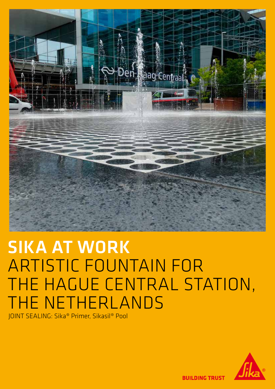

# SIKA AT WORK ARTISTIC FOUNTAIN FOR THE HAGUE CENTRAL STATION, **HE NETHERLANDS**

JOINT SEALING: Sika® Primer, Sikasil® Pool



**BUILDING TRUST**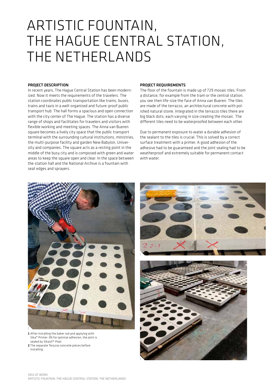## ARTISTIC FOUNTAIN, THE HAGUE CENTRAL STATION, THE NETHERLANDS

#### PROJECT DESCRIPTION

In recent years, The Hague Central Station has been modernized. Now it meets the requirements of the travelers. The station coordinates public transportation like trams, buses, trains and taxis in a well-organized and future-proof public transport hub. The hall forms a spacious and open connection with the city center of The Hague. The station has a diverse range of shops and facilitates for travelers and visitors with flexible working and meeting spaces. The Anna van Bueren square becomes a lively city space that the public transport terminal with the surrounding cultural institutions, ministries, the multi-purpose facility and garden New Babylon, University and companies. The square acts as a resting point in the middle of the busy city and is composed with green and water areas to keep the square open and clear. In the space between the station hall and the National Archive is a fountain with seat edges and sprayers.

#### PROJECT REQUIREMENTS

The floor of the fountain is made up of 729 mosaic tiles. From a distance, for example from the tram or the central station, you see then life-size the face of Anna van Bueren. The tiles are made of the terrazzo, an architectural concrete with polished natural stone. Integrated in the terrazzo tiles there are big black dots, each varying in size creating the mosaic. The different tiles need to be waterproofed between each other.

Due to permanent exposure to water a durable adhesion of the sealant to the tiles is crucial. This is solved by a correct surface treatment with a primer. A good adhesion of the adhesive had to be guaranteed and the joint sealing had to be weatherproof and extremely suitable for permanent contact with water.



1 After installing the baker rod and applying with Sika® Primer-3N for optimal adhesion, the joint is sealed by Sikasil®-Pool.

2 The separate Terazzo concrete pieces before installing.



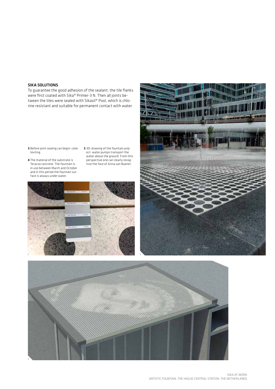### SIKA SOLUTIONS

To guarantee the good adhesion of the sealant, the tile flanks were first coated with Sika® Primer-3 N. Then all joints between the tiles were sealed with Sikasil® Pool, which is chlorine resistant and suitable for permanent contact with water.

- 3 Before joint sealing can begin: color texting.
- 4 The material of the substrate is Terazzo concrete. The fountain is in use between March and October and in this period the fountain surface is always under water.
- 5 3D-drawing of the fountain project: water pumps transport the water above the ground. From this perspective one can clearly recognize the face of Anna van Bueren.